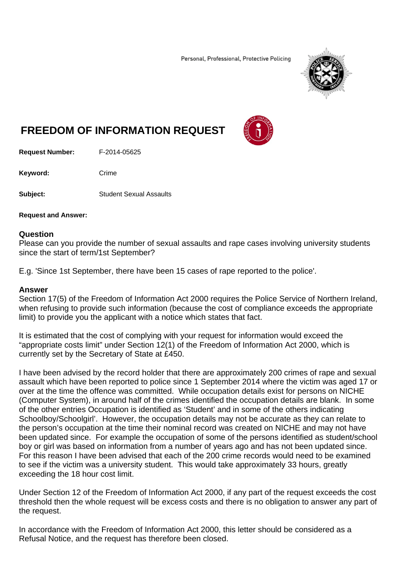Personal, Professional, Protective Policing



## **FREEDOM OF INFORMATION REQUEST**

**Request Number:** F-2014-05625

Keyword: Crime

**Subject: Student Sexual Assaults** 

**Request and Answer:** 

## **Question**

Please can you provide the number of sexual assaults and rape cases involving university students since the start of term/1st September?

E.g. 'Since 1st September, there have been 15 cases of rape reported to the police'.

## **Answer**

Section 17(5) of the Freedom of Information Act 2000 requires the Police Service of Northern Ireland, when refusing to provide such information (because the cost of compliance exceeds the appropriate limit) to provide you the applicant with a notice which states that fact.

It is estimated that the cost of complying with your request for information would exceed the "appropriate costs limit" under Section 12(1) of the Freedom of Information Act 2000, which is currently set by the Secretary of State at £450.

I have been advised by the record holder that there are approximately 200 crimes of rape and sexual assault which have been reported to police since 1 September 2014 where the victim was aged 17 or over at the time the offence was committed. While occupation details exist for persons on NICHE (Computer System), in around half of the crimes identified the occupation details are blank. In some of the other entries Occupation is identified as 'Student' and in some of the others indicating Schoolboy/Schoolgirl'. However, the occupation details may not be accurate as they can relate to the person's occupation at the time their nominal record was created on NICHE and may not have been updated since. For example the occupation of some of the persons identified as student/school boy or girl was based on information from a number of years ago and has not been updated since. For this reason I have been advised that each of the 200 crime records would need to be examined to see if the victim was a university student. This would take approximately 33 hours, greatly exceeding the 18 hour cost limit.

Under Section 12 of the Freedom of Information Act 2000, if any part of the request exceeds the cost threshold then the whole request will be excess costs and there is no obligation to answer any part of the request.

In accordance with the Freedom of Information Act 2000, this letter should be considered as a Refusal Notice, and the request has therefore been closed.